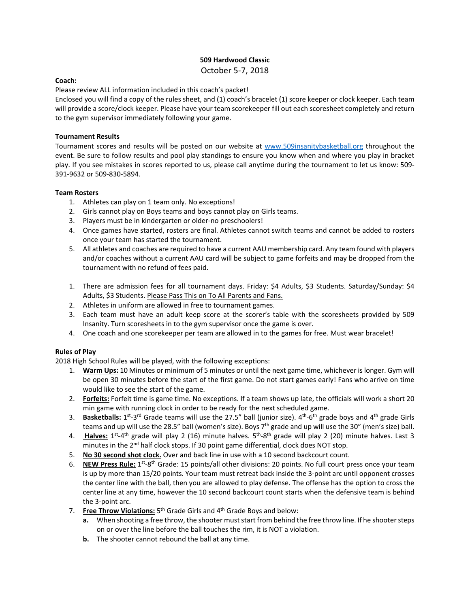## **509 Hardwood Classic**  October 5‐7, 2018

#### **Coach:**

Please review ALL information included in this coach's packet!

Enclosed you will find a copy of the rules sheet, and (1) coach's bracelet (1) score keeper or clock keeper. Each team will provide a score/clock keeper. Please have your team scorekeeper fill out each scoresheet completely and return to the gym supervisor immediately following your game.

#### **Tournament Results**

Tournament scores and results will be posted on our website at www.509insanitybasketball.org throughout the event. Be sure to follow results and pool play standings to ensure you know when and where you play in bracket play. If you see mistakes in scores reported to us, please call anytime during the tournament to let us know: 509‐ 391‐9632 or 509‐830‐5894.

#### **Team Rosters**

- 1. Athletes can play on 1 team only. No exceptions!
- 2. Girls cannot play on Boys teams and boys cannot play on Girls teams.
- 3. Players must be in kindergarten or older‐no preschoolers!
- 4. Once games have started, rosters are final. Athletes cannot switch teams and cannot be added to rosters once your team has started the tournament.
- 5. All athletes and coaches are required to have a current AAU membership card. Any team found with players and/or coaches without a current AAU card will be subject to game forfeits and may be dropped from the tournament with no refund of fees paid.
- 1. There are admission fees for all tournament days. Friday: \$4 Adults, \$3 Students. Saturday/Sunday: \$4 Adults, \$3 Students. Please Pass This on To All Parents and Fans.
- 2. Athletes in uniform are allowed in free to tournament games.
- 3. Each team must have an adult keep score at the scorer's table with the scoresheets provided by 509 Insanity. Turn scoresheets in to the gym supervisor once the game is over.
- 4. One coach and one scorekeeper per team are allowed in to the games for free. Must wear bracelet!

## **Rules of Play**

2018 High School Rules will be played, with the following exceptions:

- 1. **Warm Ups:** 10 Minutes or minimum of 5 minutes or until the next game time, whichever is longer. Gym will be open 30 minutes before the start of the first game. Do not start games early! Fans who arrive on time would like to see the start of the game.
- 2. **Forfeits:** Forfeit time is game time. No exceptions. If a team shows up late, the officials will work a short 20 min game with running clock in order to be ready for the next scheduled game.
- 3. **Basketballs:** 1<sup>st</sup>-3<sup>rd</sup> Grade teams will use the 27.5" ball (junior size). 4<sup>th</sup>-6<sup>th</sup> grade boys and 4<sup>th</sup> grade Girls teams and up will use the 28.5" ball (women's size). Boys 7<sup>th</sup> grade and up will use the 30" (men's size) ball.
- 4. **Halves:** 1<sup>st</sup>-4<sup>th</sup> grade will play 2 (16) minute halves. 5<sup>th</sup>-8<sup>th</sup> grade will play 2 (20) minute halves. Last 3 minutes in the 2<sup>nd</sup> half clock stops. If 30 point game differential, clock does NOT stop.
- 5. **No 30 second shot clock.** Over and back line in use with a 10 second backcourt count.
- 6. **NEW Press Rule:** 1st‐8th Grade: 15 points/all other divisions: 20 points. No full court press once your team is up by more than 15/20 points. Your team must retreat back inside the 3‐point arc until opponent crosses the center line with the ball, then you are allowed to play defense. The offense has the option to cross the center line at any time, however the 10 second backcourt count starts when the defensive team is behind the 3‐point arc.
- 7. **Free Throw Violations:** 5th Grade Girls and 4th Grade Boys and below:
	- **a.** When shooting a free throw, the shooter must start from behind the free throw line. If he shooter steps on or over the line before the ball touches the rim, it is NOT a violation.
	- **b.** The shooter cannot rebound the ball at any time.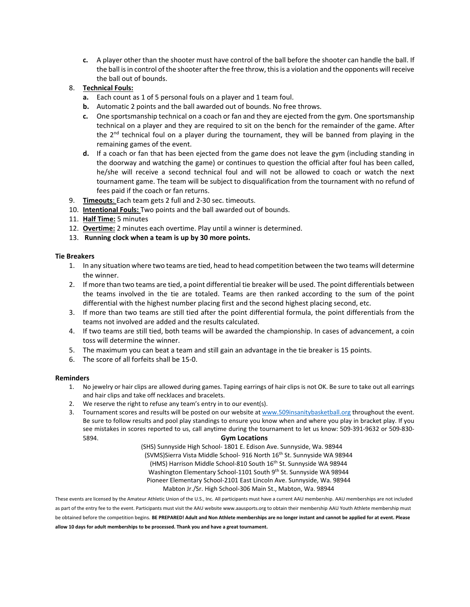**c.** A player other than the shooter must have control of the ball before the shooter can handle the ball. If the ball is in control of the shooter after the free throw, this is a violation and the opponents will receive the ball out of bounds.

# 8. **Technical Fouls:**

- **a.** Each count as 1 of 5 personal fouls on a player and 1 team foul.
- **b.** Automatic 2 points and the ball awarded out of bounds. No free throws.
- **c.** One sportsmanship technical on a coach or fan and they are ejected from the gym. One sportsmanship technical on a player and they are required to sit on the bench for the remainder of the game. After the  $2^{nd}$  technical foul on a player during the tournament, they will be banned from playing in the remaining games of the event.
- **d.** If a coach or fan that has been ejected from the game does not leave the gym (including standing in the doorway and watching the game) or continues to question the official after foul has been called, he/she will receive a second technical foul and will not be allowed to coach or watch the next tournament game. The team will be subject to disqualification from the tournament with no refund of fees paid if the coach or fan returns.
- 9. **Timeouts**: Each team gets 2 full and 2‐30 sec. timeouts.
- 10. **Intentional Fouls:** Two points and the ball awarded out of bounds.
- 11. **Half Time:** 5 minutes
- 12. **Overtime:** 2 minutes each overtime. Play until a winner is determined.
- 13.  **Running clock when a team is up by 30 more points.**

#### **Tie Breakers**

- 1. In any situation where two teams are tied, head to head competition between the two teams will determine the winner.
- 2. If more than two teams are tied, a point differential tie breaker will be used. The point differentials between the teams involved in the tie are totaled. Teams are then ranked according to the sum of the point differential with the highest number placing first and the second highest placing second, etc.
- 3. If more than two teams are still tied after the point differential formula, the point differentials from the teams not involved are added and the results calculated.
- 4. If two teams are still tied, both teams will be awarded the championship. In cases of advancement, a coin toss will determine the winner.
- 5. The maximum you can beat a team and still gain an advantage in the tie breaker is 15 points.
- 6. The score of all forfeits shall be 15‐0.

#### **Reminders**

- 1. No jewelry or hair clips are allowed during games. Taping earrings of hair clips is not OK. Be sure to take out all earrings and hair clips and take off necklaces and bracelets.
- 2. We reserve the right to refuse any team's entry in to our event(s).
- 3. Tournament scores and results will be posted on our website at www.509insanitybasketball.org throughout the event. Be sure to follow results and pool play standings to ensure you know when and where you play in bracket play. If you see mistakes in scores reported to us, call anytime during the tournament to let us know: 509-391-9632 or 509-830-5894. **Gym Locations**

(SHS) Sunnyside High School‐ 1801 E. Edison Ave. Sunnyside, Wa. 98944 (SVMS)Sierra Vista Middle School‐ 916 North 16th St. Sunnyside WA 98944 (HMS) Harrison Middle School-810 South 16<sup>th</sup> St. Sunnyside WA 98944 Washington Elementary School-1101 South 9<sup>th</sup> St. Sunnyside WA 98944 Pioneer Elementary School‐2101 East Lincoln Ave. Sunnyside, Wa. 98944 Mabton Jr./Sr. High School‐306 Main St., Mabton, Wa. 98944

These events are licensed by the Amateur Athletic Union of the U.S., Inc. All participants must have a current AAU membership. AAU memberships are not included as part of the entry fee to the event. Participants must visit the AAU website www.aausports.org to obtain their membership AAU Youth Athlete membership must be obtained before the competition begins. **BE PREPARED! Adult and Non Athlete memberships are no longer instant and cannot be applied for at event. Please allow 10 days for adult memberships to be processed. Thank you and have a great tournament.**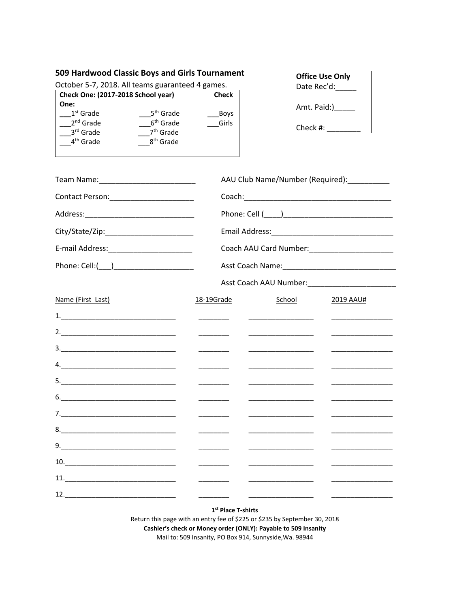# **509 Hardwood Classic Boys and Girls Tournament**

October 5‐7, 2018. All teams guaranteed 4 games.

| Check One: (2017-2018 School year) |                       | <b>Check</b> |
|------------------------------------|-----------------------|--------------|
| One:                               |                       |              |
| $1st$ Grade                        | 5 <sup>th</sup> Grade | <b>Boys</b>  |
| 2 <sup>nd</sup> Grade              | 6 <sup>th</sup> Grade | Girls        |
| 3rd Grade                          | 7 <sup>th</sup> Grade |              |
| 4 <sup>th</sup> Grade              | 8 <sup>th</sup> Grade |              |
|                                    |                       |              |

| <b>Office Use Only</b> |  |  |
|------------------------|--|--|
| Date Rec'd:            |  |  |
| Amt. Paid:)            |  |  |

| Check #: |  |
|----------|--|
|----------|--|

|                                                                                                                                                                                                                                                                                                                                                              |                                                                                                                                                                                                                                                                                                                                                                                                                                                                                        | AAU Club Name/Number (Required): _________                                 |                                                             |  |  |
|--------------------------------------------------------------------------------------------------------------------------------------------------------------------------------------------------------------------------------------------------------------------------------------------------------------------------------------------------------------|----------------------------------------------------------------------------------------------------------------------------------------------------------------------------------------------------------------------------------------------------------------------------------------------------------------------------------------------------------------------------------------------------------------------------------------------------------------------------------------|----------------------------------------------------------------------------|-------------------------------------------------------------|--|--|
|                                                                                                                                                                                                                                                                                                                                                              |                                                                                                                                                                                                                                                                                                                                                                                                                                                                                        |                                                                            |                                                             |  |  |
|                                                                                                                                                                                                                                                                                                                                                              |                                                                                                                                                                                                                                                                                                                                                                                                                                                                                        |                                                                            |                                                             |  |  |
|                                                                                                                                                                                                                                                                                                                                                              |                                                                                                                                                                                                                                                                                                                                                                                                                                                                                        |                                                                            |                                                             |  |  |
|                                                                                                                                                                                                                                                                                                                                                              |                                                                                                                                                                                                                                                                                                                                                                                                                                                                                        |                                                                            |                                                             |  |  |
|                                                                                                                                                                                                                                                                                                                                                              |                                                                                                                                                                                                                                                                                                                                                                                                                                                                                        |                                                                            |                                                             |  |  |
|                                                                                                                                                                                                                                                                                                                                                              |                                                                                                                                                                                                                                                                                                                                                                                                                                                                                        |                                                                            |                                                             |  |  |
| Name (First Last)                                                                                                                                                                                                                                                                                                                                            | 18-19Grade                                                                                                                                                                                                                                                                                                                                                                                                                                                                             | School                                                                     | <b>2019 AAU#</b>                                            |  |  |
|                                                                                                                                                                                                                                                                                                                                                              | $\begin{tabular}{ccccc} \multicolumn{2}{c }{\textbf{1} & \textbf{2} & \textbf{3} & \textbf{4} & \textbf{5} & \textbf{5} & \textbf{6} & \textbf{7} & \textbf{8} & \textbf{9} & \textbf{10} & \textbf{10} & \textbf{10} & \textbf{10} & \textbf{10} & \textbf{10} & \textbf{10} & \textbf{10} & \textbf{10} & \textbf{10} & \textbf{10} & \textbf{10} & \textbf{10} & \textbf{10} & \textbf{10} & \textbf{10} & \textbf$                                                                 |                                                                            | <u> 1989 - Andrea State Barbara, amerikan per</u>           |  |  |
|                                                                                                                                                                                                                                                                                                                                                              | $\overline{\phantom{a}}$                                                                                                                                                                                                                                                                                                                                                                                                                                                               | _________________________                                                  |                                                             |  |  |
|                                                                                                                                                                                                                                                                                                                                                              | $\overline{\phantom{a}}$ . The contract of $\overline{\phantom{a}}$                                                                                                                                                                                                                                                                                                                                                                                                                    |                                                                            |                                                             |  |  |
|                                                                                                                                                                                                                                                                                                                                                              |                                                                                                                                                                                                                                                                                                                                                                                                                                                                                        |                                                                            | the control of the control of the control of the            |  |  |
|                                                                                                                                                                                                                                                                                                                                                              | $\overline{\phantom{a}}$                                                                                                                                                                                                                                                                                                                                                                                                                                                               |                                                                            | <u> 1989 - Johann Barbara, martin a</u>                     |  |  |
| $6. \label{eq:6}$                                                                                                                                                                                                                                                                                                                                            | $\overline{\phantom{a}}$                                                                                                                                                                                                                                                                                                                                                                                                                                                               |                                                                            |                                                             |  |  |
|                                                                                                                                                                                                                                                                                                                                                              | $\begin{array}{cccccccccc} \multicolumn{2}{c}{} & \multicolumn{2}{c}{} & \multicolumn{2}{c}{} & \multicolumn{2}{c}{} & \multicolumn{2}{c}{} & \multicolumn{2}{c}{} & \multicolumn{2}{c}{} & \multicolumn{2}{c}{} & \multicolumn{2}{c}{} & \multicolumn{2}{c}{} & \multicolumn{2}{c}{} & \multicolumn{2}{c}{} & \multicolumn{2}{c}{} & \multicolumn{2}{c}{} & \multicolumn{2}{c}{} & \multicolumn{2}{c}{} & \multicolumn{2}{c}{} & \multicolumn{2}{c}{} & \multicolumn{2}{c}{} & \mult$ | the control of the control of the control of                               | <u>and the state of the state of the state of the state</u> |  |  |
|                                                                                                                                                                                                                                                                                                                                                              |                                                                                                                                                                                                                                                                                                                                                                                                                                                                                        |                                                                            |                                                             |  |  |
|                                                                                                                                                                                                                                                                                                                                                              | ________                                                                                                                                                                                                                                                                                                                                                                                                                                                                               |                                                                            |                                                             |  |  |
| $\begin{tabular}{c} 10. & \hspace{15.5cm} \rule{2.2cm}{0.1cm} \rule{2.2cm}{0.1cm} \rule{2.2cm}{0.1cm} \rule{2.2cm}{0.1cm} \rule{2.2cm}{0.1cm} \rule{2.2cm}{0.1cm} \rule{2.2cm}{0.1cm} \rule{2.2cm}{0.1cm} \rule{2.2cm}{0.1cm} \rule{2.2cm}{0.1cm} \rule{2.2cm}{0.1cm} \rule{2.2cm}{0.1cm} \rule{2.2cm}{0.1cm} \rule{2.2cm}{0.1cm} \rule{2.2cm}{0.1cm} \rule$ | $\frac{1}{2}$                                                                                                                                                                                                                                                                                                                                                                                                                                                                          |                                                                            |                                                             |  |  |
|                                                                                                                                                                                                                                                                                                                                                              | $\overline{\phantom{a}}$ . The contract of $\overline{\phantom{a}}$                                                                                                                                                                                                                                                                                                                                                                                                                    | the control of the control of the control of the control of the control of | the control of the control of the control of the            |  |  |
|                                                                                                                                                                                                                                                                                                                                                              | $\begin{tabular}{l} \hline \rule{0pt}{3ex} \multicolumn{3}{c} {\color{blue} \textbf{1} } \end{tabular}$                                                                                                                                                                                                                                                                                                                                                                                | <u>and the state of the state of the state of the state</u>                |                                                             |  |  |

**1st Place T‐shirts** 

Return this page with an entry fee of \$225 or \$235 by September 30, 2018 **Cashier's check or Money order (ONLY): Payable to 509 Insanity**  Mail to: 509 Insanity, PO Box 914, Sunnyside,Wa. 98944